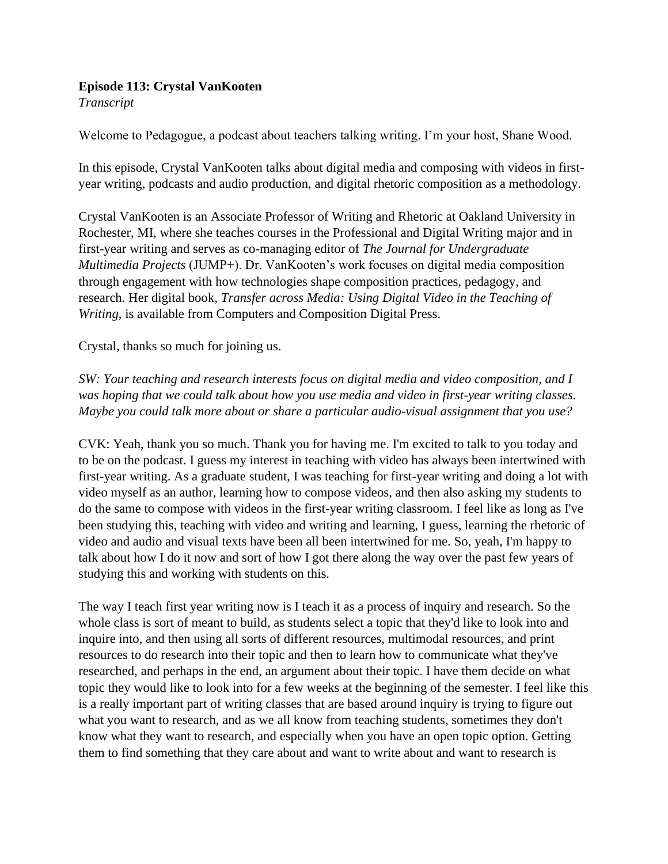## **Episode 113: Crystal VanKooten**

*Transcript* 

Welcome to Pedagogue, a podcast about teachers talking writing. I'm your host, Shane Wood.

In this episode, Crystal VanKooten talks about digital media and composing with videos in firstyear writing, podcasts and audio production, and digital rhetoric composition as a methodology.

Crystal VanKooten is an Associate Professor of Writing and Rhetoric at Oakland University in Rochester, MI, where she teaches courses in the Professional and Digital Writing major and in first-year writing and serves as co-managing editor of *The Journal for Undergraduate Multimedia Projects* (JUMP+). Dr. VanKooten's work focuses on digital media composition through engagement with how technologies shape composition practices, pedagogy, and research. Her digital book, *Transfer across Media: Using Digital Video in the Teaching of Writing*, is available from Computers and Composition Digital Press.

Crystal, thanks so much for joining us.

*SW: Your teaching and research interests focus on digital media and video composition, and I was hoping that we could talk about how you use media and video in first-year writing classes. Maybe you could talk more about or share a particular audio-visual assignment that you use?*

CVK: Yeah, thank you so much. Thank you for having me. I'm excited to talk to you today and to be on the podcast. I guess my interest in teaching with video has always been intertwined with first-year writing. As a graduate student, I was teaching for first-year writing and doing a lot with video myself as an author, learning how to compose videos, and then also asking my students to do the same to compose with videos in the first-year writing classroom. I feel like as long as I've been studying this, teaching with video and writing and learning, I guess, learning the rhetoric of video and audio and visual texts have been all been intertwined for me. So, yeah, I'm happy to talk about how I do it now and sort of how I got there along the way over the past few years of studying this and working with students on this.

The way I teach first year writing now is I teach it as a process of inquiry and research. So the whole class is sort of meant to build, as students select a topic that they'd like to look into and inquire into, and then using all sorts of different resources, multimodal resources, and print resources to do research into their topic and then to learn how to communicate what they've researched, and perhaps in the end, an argument about their topic. I have them decide on what topic they would like to look into for a few weeks at the beginning of the semester. I feel like this is a really important part of writing classes that are based around inquiry is trying to figure out what you want to research, and as we all know from teaching students, sometimes they don't know what they want to research, and especially when you have an open topic option. Getting them to find something that they care about and want to write about and want to research is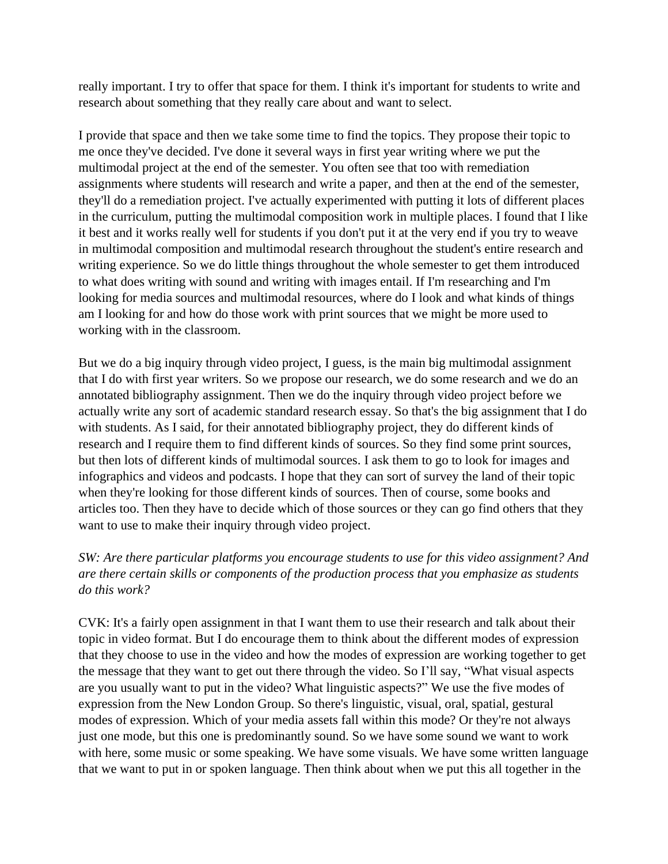really important. I try to offer that space for them. I think it's important for students to write and research about something that they really care about and want to select.

I provide that space and then we take some time to find the topics. They propose their topic to me once they've decided. I've done it several ways in first year writing where we put the multimodal project at the end of the semester. You often see that too with remediation assignments where students will research and write a paper, and then at the end of the semester, they'll do a remediation project. I've actually experimented with putting it lots of different places in the curriculum, putting the multimodal composition work in multiple places. I found that I like it best and it works really well for students if you don't put it at the very end if you try to weave in multimodal composition and multimodal research throughout the student's entire research and writing experience. So we do little things throughout the whole semester to get them introduced to what does writing with sound and writing with images entail. If I'm researching and I'm looking for media sources and multimodal resources, where do I look and what kinds of things am I looking for and how do those work with print sources that we might be more used to working with in the classroom.

But we do a big inquiry through video project, I guess, is the main big multimodal assignment that I do with first year writers. So we propose our research, we do some research and we do an annotated bibliography assignment. Then we do the inquiry through video project before we actually write any sort of academic standard research essay. So that's the big assignment that I do with students. As I said, for their annotated bibliography project, they do different kinds of research and I require them to find different kinds of sources. So they find some print sources, but then lots of different kinds of multimodal sources. I ask them to go to look for images and infographics and videos and podcasts. I hope that they can sort of survey the land of their topic when they're looking for those different kinds of sources. Then of course, some books and articles too. Then they have to decide which of those sources or they can go find others that they want to use to make their inquiry through video project.

## *SW: Are there particular platforms you encourage students to use for this video assignment? And are there certain skills or components of the production process that you emphasize as students do this work?*

CVK: It's a fairly open assignment in that I want them to use their research and talk about their topic in video format. But I do encourage them to think about the different modes of expression that they choose to use in the video and how the modes of expression are working together to get the message that they want to get out there through the video. So I'll say, "What visual aspects are you usually want to put in the video? What linguistic aspects?" We use the five modes of expression from the New London Group. So there's linguistic, visual, oral, spatial, gestural modes of expression. Which of your media assets fall within this mode? Or they're not always just one mode, but this one is predominantly sound. So we have some sound we want to work with here, some music or some speaking. We have some visuals. We have some written language that we want to put in or spoken language. Then think about when we put this all together in the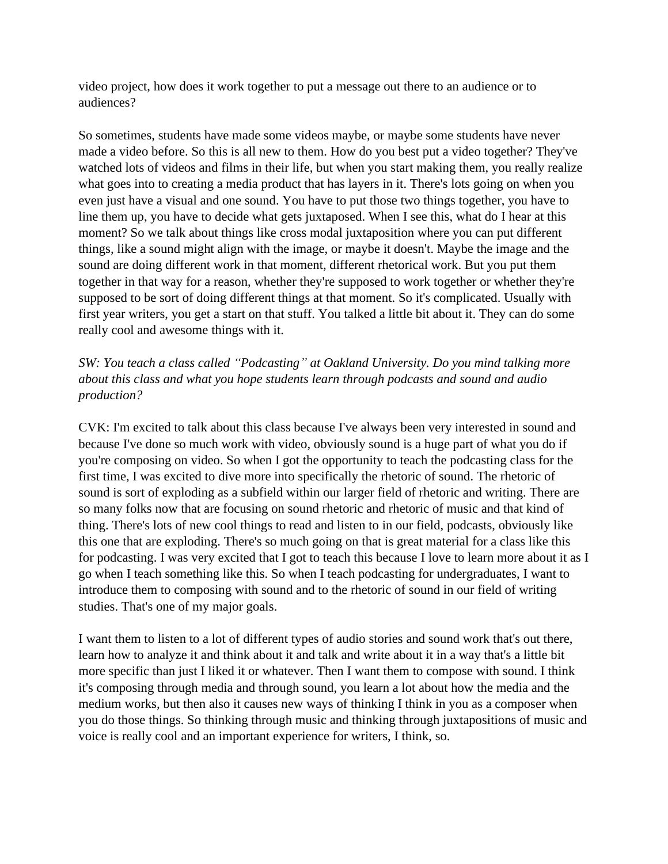video project, how does it work together to put a message out there to an audience or to audiences?

So sometimes, students have made some videos maybe, or maybe some students have never made a video before. So this is all new to them. How do you best put a video together? They've watched lots of videos and films in their life, but when you start making them, you really realize what goes into to creating a media product that has layers in it. There's lots going on when you even just have a visual and one sound. You have to put those two things together, you have to line them up, you have to decide what gets juxtaposed. When I see this, what do I hear at this moment? So we talk about things like cross modal juxtaposition where you can put different things, like a sound might align with the image, or maybe it doesn't. Maybe the image and the sound are doing different work in that moment, different rhetorical work. But you put them together in that way for a reason, whether they're supposed to work together or whether they're supposed to be sort of doing different things at that moment. So it's complicated. Usually with first year writers, you get a start on that stuff. You talked a little bit about it. They can do some really cool and awesome things with it.

*SW: You teach a class called "Podcasting" at Oakland University. Do you mind talking more about this class and what you hope students learn through podcasts and sound and audio production?*

CVK: I'm excited to talk about this class because I've always been very interested in sound and because I've done so much work with video, obviously sound is a huge part of what you do if you're composing on video. So when I got the opportunity to teach the podcasting class for the first time, I was excited to dive more into specifically the rhetoric of sound. The rhetoric of sound is sort of exploding as a subfield within our larger field of rhetoric and writing. There are so many folks now that are focusing on sound rhetoric and rhetoric of music and that kind of thing. There's lots of new cool things to read and listen to in our field, podcasts, obviously like this one that are exploding. There's so much going on that is great material for a class like this for podcasting. I was very excited that I got to teach this because I love to learn more about it as I go when I teach something like this. So when I teach podcasting for undergraduates, I want to introduce them to composing with sound and to the rhetoric of sound in our field of writing studies. That's one of my major goals.

I want them to listen to a lot of different types of audio stories and sound work that's out there, learn how to analyze it and think about it and talk and write about it in a way that's a little bit more specific than just I liked it or whatever. Then I want them to compose with sound. I think it's composing through media and through sound, you learn a lot about how the media and the medium works, but then also it causes new ways of thinking I think in you as a composer when you do those things. So thinking through music and thinking through juxtapositions of music and voice is really cool and an important experience for writers, I think, so.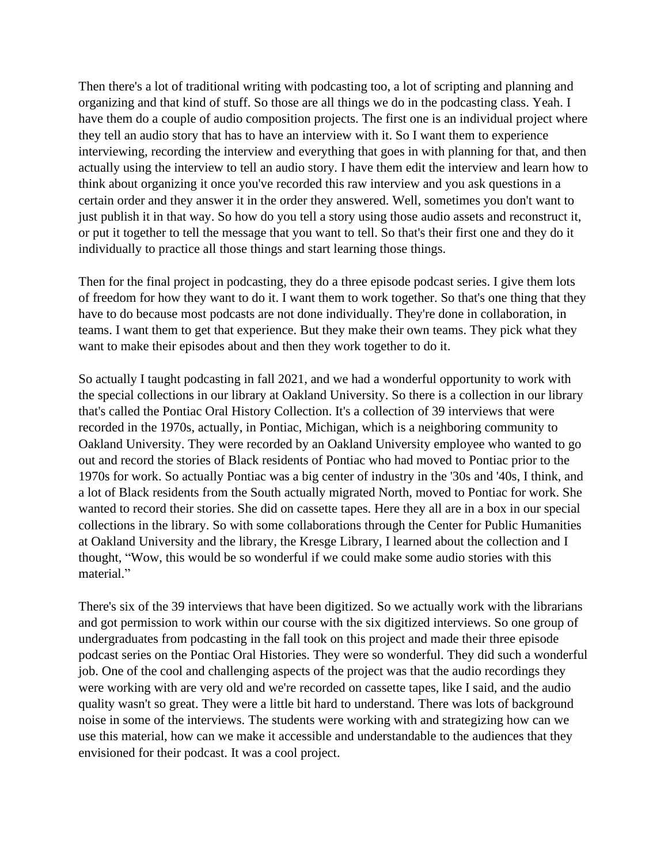Then there's a lot of traditional writing with podcasting too, a lot of scripting and planning and organizing and that kind of stuff. So those are all things we do in the podcasting class. Yeah. I have them do a couple of audio composition projects. The first one is an individual project where they tell an audio story that has to have an interview with it. So I want them to experience interviewing, recording the interview and everything that goes in with planning for that, and then actually using the interview to tell an audio story. I have them edit the interview and learn how to think about organizing it once you've recorded this raw interview and you ask questions in a certain order and they answer it in the order they answered. Well, sometimes you don't want to just publish it in that way. So how do you tell a story using those audio assets and reconstruct it, or put it together to tell the message that you want to tell. So that's their first one and they do it individually to practice all those things and start learning those things.

Then for the final project in podcasting, they do a three episode podcast series. I give them lots of freedom for how they want to do it. I want them to work together. So that's one thing that they have to do because most podcasts are not done individually. They're done in collaboration, in teams. I want them to get that experience. But they make their own teams. They pick what they want to make their episodes about and then they work together to do it.

So actually I taught podcasting in fall 2021, and we had a wonderful opportunity to work with the special collections in our library at Oakland University. So there is a collection in our library that's called the Pontiac Oral History Collection. It's a collection of 39 interviews that were recorded in the 1970s, actually, in Pontiac, Michigan, which is a neighboring community to Oakland University. They were recorded by an Oakland University employee who wanted to go out and record the stories of Black residents of Pontiac who had moved to Pontiac prior to the 1970s for work. So actually Pontiac was a big center of industry in the '30s and '40s, I think, and a lot of Black residents from the South actually migrated North, moved to Pontiac for work. She wanted to record their stories. She did on cassette tapes. Here they all are in a box in our special collections in the library. So with some collaborations through the Center for Public Humanities at Oakland University and the library, the Kresge Library, I learned about the collection and I thought, "Wow, this would be so wonderful if we could make some audio stories with this material."

There's six of the 39 interviews that have been digitized. So we actually work with the librarians and got permission to work within our course with the six digitized interviews. So one group of undergraduates from podcasting in the fall took on this project and made their three episode podcast series on the Pontiac Oral Histories. They were so wonderful. They did such a wonderful job. One of the cool and challenging aspects of the project was that the audio recordings they were working with are very old and we're recorded on cassette tapes, like I said, and the audio quality wasn't so great. They were a little bit hard to understand. There was lots of background noise in some of the interviews. The students were working with and strategizing how can we use this material, how can we make it accessible and understandable to the audiences that they envisioned for their podcast. It was a cool project.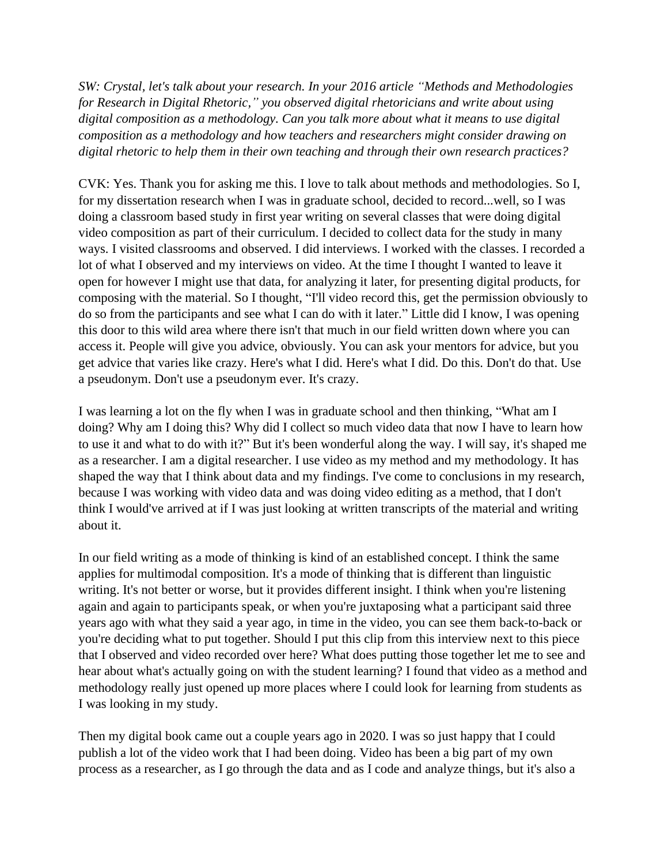*SW: Crystal, let's talk about your research. In your 2016 article "Methods and Methodologies for Research in Digital Rhetoric," you observed digital rhetoricians and write about using digital composition as a methodology. Can you talk more about what it means to use digital composition as a methodology and how teachers and researchers might consider drawing on digital rhetoric to help them in their own teaching and through their own research practices?*

CVK: Yes. Thank you for asking me this. I love to talk about methods and methodologies. So I, for my dissertation research when I was in graduate school, decided to record...well, so I was doing a classroom based study in first year writing on several classes that were doing digital video composition as part of their curriculum. I decided to collect data for the study in many ways. I visited classrooms and observed. I did interviews. I worked with the classes. I recorded a lot of what I observed and my interviews on video. At the time I thought I wanted to leave it open for however I might use that data, for analyzing it later, for presenting digital products, for composing with the material. So I thought, "I'll video record this, get the permission obviously to do so from the participants and see what I can do with it later." Little did I know, I was opening this door to this wild area where there isn't that much in our field written down where you can access it. People will give you advice, obviously. You can ask your mentors for advice, but you get advice that varies like crazy. Here's what I did. Here's what I did. Do this. Don't do that. Use a pseudonym. Don't use a pseudonym ever. It's crazy.

I was learning a lot on the fly when I was in graduate school and then thinking, "What am I doing? Why am I doing this? Why did I collect so much video data that now I have to learn how to use it and what to do with it?" But it's been wonderful along the way. I will say, it's shaped me as a researcher. I am a digital researcher. I use video as my method and my methodology. It has shaped the way that I think about data and my findings. I've come to conclusions in my research, because I was working with video data and was doing video editing as a method, that I don't think I would've arrived at if I was just looking at written transcripts of the material and writing about it.

In our field writing as a mode of thinking is kind of an established concept. I think the same applies for multimodal composition. It's a mode of thinking that is different than linguistic writing. It's not better or worse, but it provides different insight. I think when you're listening again and again to participants speak, or when you're juxtaposing what a participant said three years ago with what they said a year ago, in time in the video, you can see them back-to-back or you're deciding what to put together. Should I put this clip from this interview next to this piece that I observed and video recorded over here? What does putting those together let me to see and hear about what's actually going on with the student learning? I found that video as a method and methodology really just opened up more places where I could look for learning from students as I was looking in my study.

Then my digital book came out a couple years ago in 2020. I was so just happy that I could publish a lot of the video work that I had been doing. Video has been a big part of my own process as a researcher, as I go through the data and as I code and analyze things, but it's also a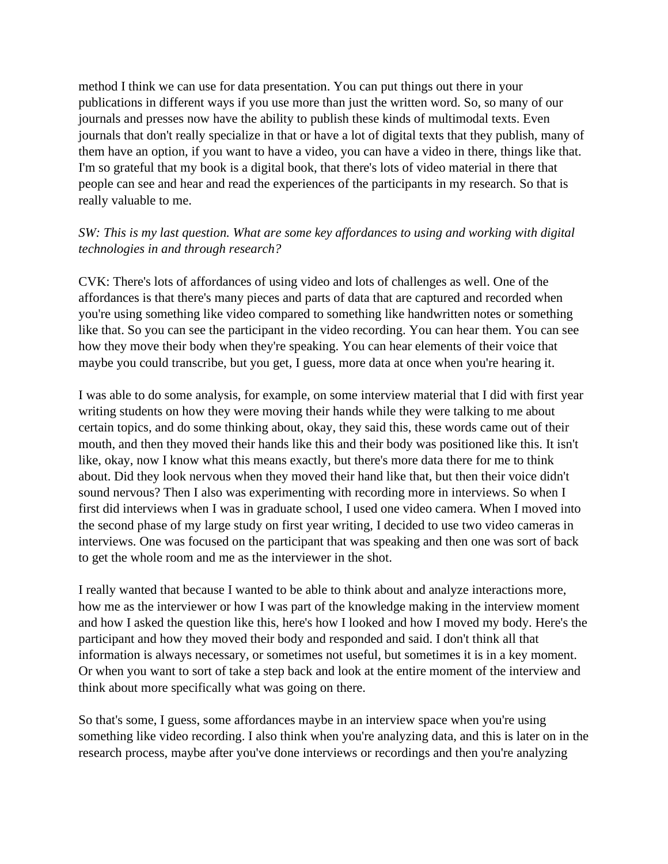method I think we can use for data presentation. You can put things out there in your publications in different ways if you use more than just the written word. So, so many of our journals and presses now have the ability to publish these kinds of multimodal texts. Even journals that don't really specialize in that or have a lot of digital texts that they publish, many of them have an option, if you want to have a video, you can have a video in there, things like that. I'm so grateful that my book is a digital book, that there's lots of video material in there that people can see and hear and read the experiences of the participants in my research. So that is really valuable to me.

## *SW: This is my last question. What are some key affordances to using and working with digital technologies in and through research?*

CVK: There's lots of affordances of using video and lots of challenges as well. One of the affordances is that there's many pieces and parts of data that are captured and recorded when you're using something like video compared to something like handwritten notes or something like that. So you can see the participant in the video recording. You can hear them. You can see how they move their body when they're speaking. You can hear elements of their voice that maybe you could transcribe, but you get, I guess, more data at once when you're hearing it.

I was able to do some analysis, for example, on some interview material that I did with first year writing students on how they were moving their hands while they were talking to me about certain topics, and do some thinking about, okay, they said this, these words came out of their mouth, and then they moved their hands like this and their body was positioned like this. It isn't like, okay, now I know what this means exactly, but there's more data there for me to think about. Did they look nervous when they moved their hand like that, but then their voice didn't sound nervous? Then I also was experimenting with recording more in interviews. So when I first did interviews when I was in graduate school, I used one video camera. When I moved into the second phase of my large study on first year writing, I decided to use two video cameras in interviews. One was focused on the participant that was speaking and then one was sort of back to get the whole room and me as the interviewer in the shot.

I really wanted that because I wanted to be able to think about and analyze interactions more, how me as the interviewer or how I was part of the knowledge making in the interview moment and how I asked the question like this, here's how I looked and how I moved my body. Here's the participant and how they moved their body and responded and said. I don't think all that information is always necessary, or sometimes not useful, but sometimes it is in a key moment. Or when you want to sort of take a step back and look at the entire moment of the interview and think about more specifically what was going on there.

So that's some, I guess, some affordances maybe in an interview space when you're using something like video recording. I also think when you're analyzing data, and this is later on in the research process, maybe after you've done interviews or recordings and then you're analyzing